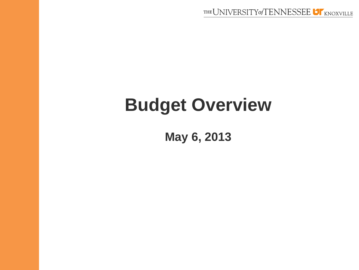# **Budget Overview**

**May 6, 2013**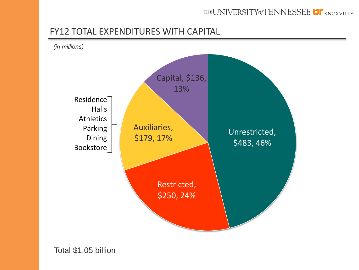#### FY12 TOTAL EXPENDITURES WITH CAPITAL

*(in millions)*

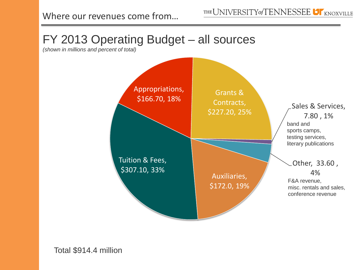

*(shown in millions and percent of total)*

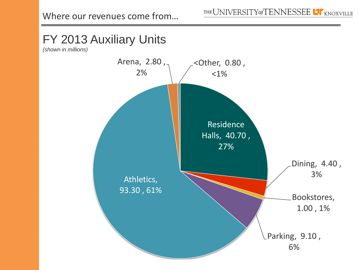# FY 2013 Auxiliary Units

*(shown in millions)*

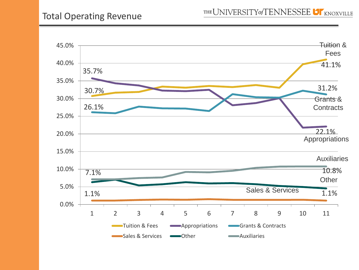### Total Operating Revenue

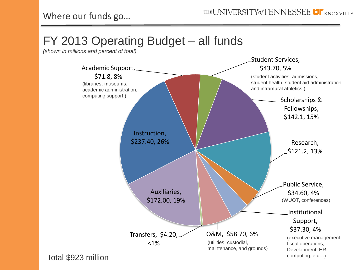## FY 2013 Operating Budget – all funds

*(shown in millions and percent of total)*

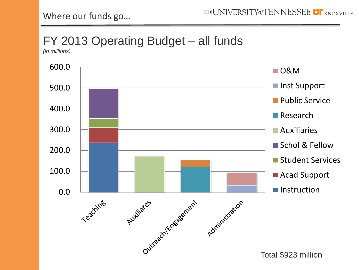## FY 2013 Operating Budget – all funds

*(in millions)*

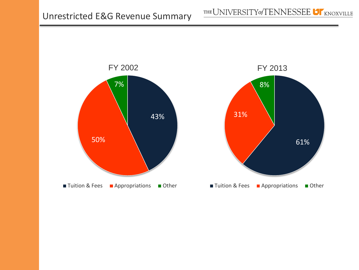

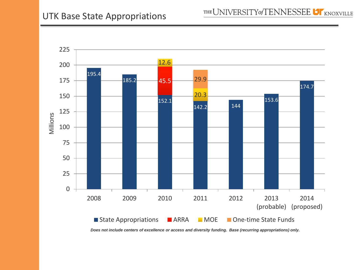

*Does not include centers of excellence or access and diversity funding. Base (recurring appropriations) only.*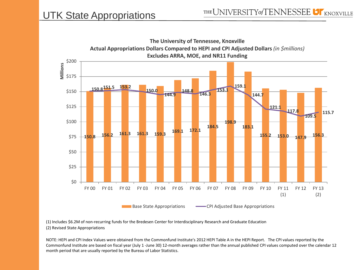

(1) Includes \$6.2M of non-recurring funds for the Bredesen Center for Interdisciplinary Research and Graduate Education (2) Revised State Appropriations

NOTE: HEPI and CPI Index Values were obtained from the Commonfund Institute's 2012 HEPI Table A in the HEPI Report. The CPI values reported by the Commonfund Institute are based on fiscal year (July 1 -June 30) 12-month averages rather than the annual published CPI values computed over the calendar 12 month period that are usually reported by the Bureau of Labor Statistics.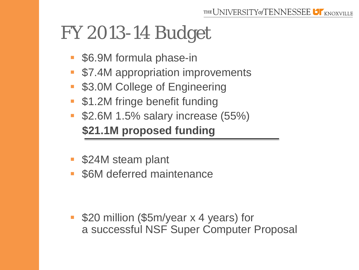# FY 2013-14 Budget

- \$6.9M formula phase-in
- **57.4M appropriation improvements**
- **S3.0M College of Engineering**
- **51.2M fringe benefit funding**
- **52.6M 1.5% salary increase (55%) \$21.1M proposed funding**
- **524M steam plant**
- \$6M deferred maintenance

 \$20 million (\$5m/year x 4 years) for a successful NSF Super Computer Proposal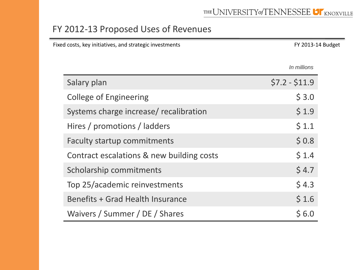### FY 2012-13 Proposed Uses of Revenues

| Fixed costs, key initiatives, and strategic investments |                                           |                | FY 2013-14 Budget |  |
|---------------------------------------------------------|-------------------------------------------|----------------|-------------------|--|
|                                                         |                                           | In millions    |                   |  |
|                                                         | Salary plan                               | $$7.2 - $11.9$ |                   |  |
|                                                         | <b>College of Engineering</b>             | \$3.0          |                   |  |
|                                                         | Systems charge increase/ recalibration    | \$1.9          |                   |  |
|                                                         | Hires / promotions / ladders              | \$1.1          |                   |  |
|                                                         | Faculty startup commitments               | \$0.8          |                   |  |
|                                                         | Contract escalations & new building costs | \$1.4          |                   |  |
|                                                         | Scholarship commitments                   | \$4.7          |                   |  |
|                                                         | Top 25/academic reinvestments             | \$4.3          |                   |  |
|                                                         | Benefits + Grad Health Insurance          | \$1.6          |                   |  |
|                                                         | Waivers / Summer / DE / Shares            | \$6.0          |                   |  |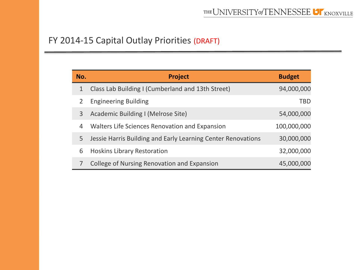### FY 2014-15 Capital Outlay Priorities (DRAFT)

| No.          | <b>Project</b>                                               | <b>Budget</b> |
|--------------|--------------------------------------------------------------|---------------|
| $\mathbf{1}$ | Class Lab Building I (Cumberland and 13th Street)            | 94,000,000    |
|              | <b>Engineering Building</b>                                  | <b>TBD</b>    |
| 3            | Academic Building I (Melrose Site)                           | 54,000,000    |
| 4            | Walters Life Sciences Renovation and Expansion               | 100,000,000   |
| 5            | Jessie Harris Building and Early Learning Center Renovations | 30,000,000    |
| 6            | <b>Hoskins Library Restoration</b>                           | 32,000,000    |
|              | College of Nursing Renovation and Expansion                  | 45,000,000    |